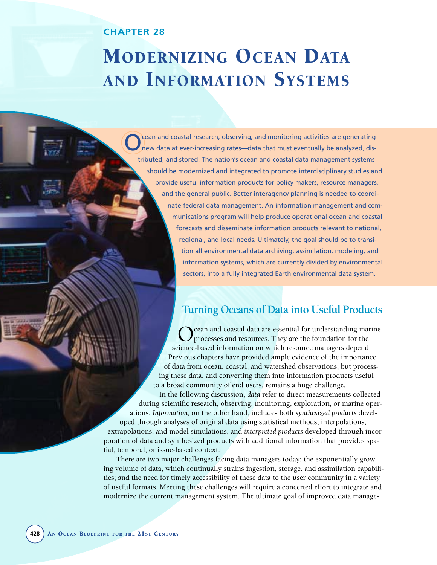# **CHAPTER 28**

# MODERNIZING OCEAN DATA AND INFORMATION SYSTEMS

cean and coastal research, observing, and monitoring activities are generating new data at ever-increasing rates—data that must eventually be analyzed, distributed, and stored. The nation's ocean and coastal data management systems should be modernized and integrated to promote interdisciplinary studies and provide useful information products for policy makers, resource managers, and the general public. Better interagency planning is needed to coordinate federal data management. An information management and communications program will help produce operational ocean and coastal forecasts and disseminate information products relevant to national, regional, and local needs. Ultimately, the goal should be to transition all environmental data archiving, assimilation, modeling, and information systems, which are currently divided by environmental sectors, into a fully integrated Earth environmental data system.

# **Turning Oceans of Data into Useful Products**

cean and coastal data are essential for understanding marine processes and resources. They are the foundation for the science-based information on which resource managers depend. Previous chapters have provided ample evidence of the importance of data from ocean, coastal, and watershed observations; but processing these data, and converting them into information products useful to a broad community of end users, remains a huge challenge.

In the following discussion, *data* refer to direct measurements collected during scientific research, observing, monitoring, exploration, or marine operations. *Information,* on the other hand, includes both *synthesized products* developed through analyses of original data using statistical methods, interpolations, extrapolations, and model simulations, and *interpreted products* developed through incorporation of data and synthesized products with additional information that provides spatial, temporal, or issue-based context.

There are two major challenges facing data managers today: the exponentially growing volume of data, which continually strains ingestion, storage, and assimilation capabilities; and the need for timely accessibility of these data to the user community in a variety of useful formats. Meeting these challenges will require a concerted effort to integrate and modernize the current management system. The ultimate goal of improved data manage-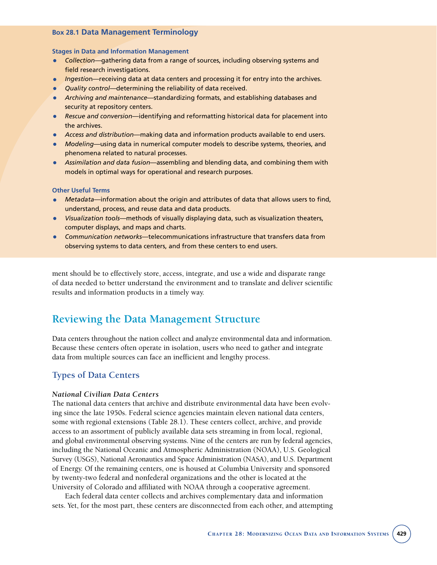## **Box 28.1 Data Management Terminology**

#### **Stages in Data and Information Management**

- *Collection*—gathering data from a range of sources, including observing systems and field research investigations.
- *Ingestio*n—receiving data at data centers and processing it for entry into the archives.
- *Quality control*—determining the reliability of data received.
- *Archiving and maintenance*—standardizing formats, and establishing databases and security at repository centers.
- *Rescue and conversion*—identifying and reformatting historical data for placement into the archives.
- *Access and distribution*—making data and information products available to end users.
- *Modeling*—using data in numerical computer models to describe systems, theories, and phenomena related to natural processes.
- *Assimilation and data fusion*—assembling and blending data, and combining them with models in optimal ways for operational and research purposes.

#### **Other Useful Terms**

- *Metadata*—information about the origin and attributes of data that allows users to find, understand, process, and reuse data and data products.
- *Visualization tools*—methods of visually displaying data, such as visualization theaters, computer displays, and maps and charts.
- *Communication networks*—telecommunications infrastructure that transfers data from observing systems to data centers, and from these centers to end users.

ment should be to effectively store, access, integrate, and use a wide and disparate range of data needed to better understand the environment and to translate and deliver scientific results and information products in a timely way.

# **Reviewing the Data Management Structure**

Data centers throughout the nation collect and analyze environmental data and information. Because these centers often operate in isolation, users who need to gather and integrate data from multiple sources can face an inefficient and lengthy process.

# **Types of Data Centers**

## *National Civilian Data Centers*

The national data centers that archive and distribute environmental data have been evolving since the late 1950s. Federal science agencies maintain eleven national data centers, some with regional extensions (Table 28.1). These centers collect, archive, and provide access to an assortment of publicly available data sets streaming in from local, regional, and global environmental observing systems. Nine of the centers are run by federal agencies, including the National Oceanic and Atmospheric Administration (NOAA), U.S. Geological Survey (USGS), National Aeronautics and Space Administration (NASA), and U.S. Department of Energy. Of the remaining centers, one is housed at Columbia University and sponsored by twenty-two federal and nonfederal organizations and the other is located at the University of Colorado and affiliated with NOAA through a cooperative agreement.

Each federal data center collects and archives complementary data and information sets. Yet, for the most part, these centers are disconnected from each other, and attempting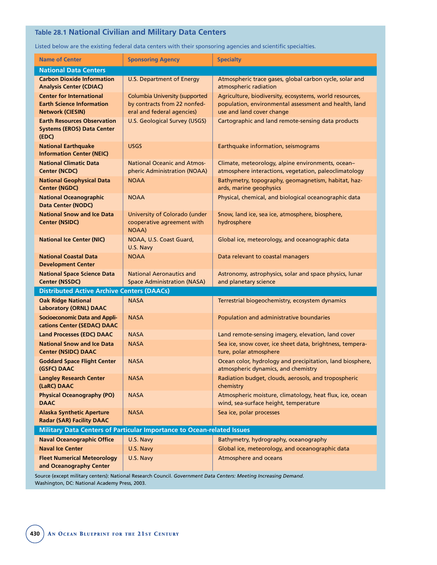# **Table 28.1 National Civilian and Military Data Centers**

Listed below are the existing federal data centers with their sponsoring agencies and scientific specialties.

| <b>Name of Center</b>                                                                          | <b>Sponsoring Agency</b>                                                                            | <b>Specialty</b>                                                                                                                              |
|------------------------------------------------------------------------------------------------|-----------------------------------------------------------------------------------------------------|-----------------------------------------------------------------------------------------------------------------------------------------------|
| <b>National Data Centers</b>                                                                   |                                                                                                     |                                                                                                                                               |
| <b>Carbon Dioxide Information</b><br><b>Analysis Center (CDIAC)</b>                            | U.S. Department of Energy                                                                           | Atmospheric trace gases, global carbon cycle, solar and<br>atmospheric radiation                                                              |
| <b>Center for International</b><br><b>Earth Science Information</b><br><b>Network (CIESIN)</b> | <b>Columbia University (supported</b><br>by contracts from 22 nonfed-<br>eral and federal agencies) | Agriculture, biodiversity, ecosystems, world resources,<br>population, environmental assessment and health, land<br>use and land cover change |
| <b>Earth Resources Observation</b><br><b>Systems (EROS) Data Center</b><br>(EDC)               | U.S. Geological Survey (USGS)                                                                       | Cartographic and land remote-sensing data products                                                                                            |
| <b>National Earthquake</b><br><b>Information Center (NEIC)</b>                                 | <b>USGS</b>                                                                                         | Earthquake information, seismograms                                                                                                           |
| <b>National Climatic Data</b><br><b>Center (NCDC)</b>                                          | <b>National Oceanic and Atmos-</b><br>pheric Administration (NOAA)                                  | Climate, meteorology, alpine environments, ocean-<br>atmosphere interactions, vegetation, paleoclimatology                                    |
| <b>National Geophysical Data</b><br><b>Center (NGDC)</b>                                       | <b>NOAA</b>                                                                                         | Bathymetry, topography, geomagnetism, habitat, haz-<br>ards, marine geophysics                                                                |
| <b>National Oceanographic</b><br><b>Data Center (NODC)</b>                                     | <b>NOAA</b>                                                                                         | Physical, chemical, and biological oceanographic data                                                                                         |
| <b>National Snow and Ice Data</b><br><b>Center (NSIDC)</b>                                     | University of Colorado (under<br>cooperative agreement with<br><b>NOAA</b> )                        | Snow, land ice, sea ice, atmosphere, biosphere,<br>hydrosphere                                                                                |
| <b>National Ice Center (NIC)</b>                                                               | NOAA, U.S. Coast Guard,<br>U.S. Navy                                                                | Global ice, meteorology, and oceanographic data                                                                                               |
| <b>National Coastal Data</b><br><b>Development Center</b>                                      | <b>NOAA</b>                                                                                         | Data relevant to coastal managers                                                                                                             |
| <b>National Space Science Data</b><br><b>Center (NSSDC)</b>                                    | <b>National Aeronautics and</b><br><b>Space Administration (NASA)</b>                               | Astronomy, astrophysics, solar and space physics, lunar<br>and planetary science                                                              |
| <b>Distributed Active Archive Centers (DAACs)</b>                                              |                                                                                                     |                                                                                                                                               |
| <b>Oak Ridge National</b><br><b>Laboratory (ORNL) DAAC</b>                                     | <b>NASA</b>                                                                                         | Terrestrial biogeochemistry, ecosystem dynamics                                                                                               |
| <b>Socioeconomic Data and Appli-</b><br>cations Center (SEDAC) DAAC                            | <b>NASA</b>                                                                                         | Population and administrative boundaries                                                                                                      |
| <b>Land Processes (EDC) DAAC</b>                                                               | <b>NASA</b>                                                                                         | Land remote-sensing imagery, elevation, land cover                                                                                            |
| <b>National Snow and Ice Data</b>                                                              | <b>NASA</b>                                                                                         | Sea ice, snow cover, ice sheet data, brightness, tempera-                                                                                     |
| <b>Center (NSIDC) DAAC</b>                                                                     |                                                                                                     | ture, polar atmosphere                                                                                                                        |
| <b>Goddard Space Flight Center</b><br>(GSFC) DAAC                                              | <b>NASA</b>                                                                                         | Ocean color, hydrology and precipitation, land biosphere,<br>atmospheric dynamics, and chemistry                                              |
| <b>Langley Research Center</b><br>(LaRC) DAAC                                                  | <b>NASA</b>                                                                                         | Radiation budget, clouds, aerosols, and tropospheric<br>chemistry                                                                             |
| <b>Physical Oceanography (PO)</b><br><b>DAAC</b>                                               | <b>NASA</b>                                                                                         | Atmospheric moisture, climatology, heat flux, ice, ocean<br>wind, sea-surface height, temperature                                             |
| <b>Alaska Synthetic Aperture</b><br><b>Radar (SAR) Facility DAAC</b>                           | <b>NASA</b>                                                                                         | Sea ice, polar processes                                                                                                                      |
| Military Data Centers of Particular Importance to Ocean-related Issues                         |                                                                                                     |                                                                                                                                               |
| <b>Naval Oceanographic Office</b>                                                              | U.S. Navy                                                                                           | Bathymetry, hydrography, oceanography                                                                                                         |
| <b>Naval Ice Center</b>                                                                        | U.S. Navy                                                                                           | Global ice, meteorology, and oceanographic data                                                                                               |
| <b>Fleet Numerical Meteorology</b><br>and Oceanography Center                                  | U.S. Navy                                                                                           | Atmosphere and oceans                                                                                                                         |

Source (except military centers): National Research Council. *Government Data Centers: Meeting Increasing Demand.*  Washington, DC: National Academy Press, 2003.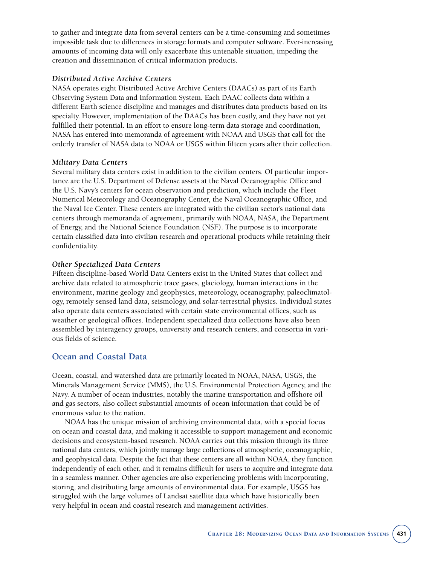to gather and integrate data from several centers can be a time-consuming and sometimes impossible task due to differences in storage formats and computer software. Ever-increasing amounts of incoming data will only exacerbate this untenable situation, impeding the creation and dissemination of critical information products.

# *Distributed Active Archive Centers*

NASA operates eight Distributed Active Archive Centers (DAACs) as part of its Earth Observing System Data and Information System. Each DAAC collects data within a different Earth science discipline and manages and distributes data products based on its specialty. However, implementation of the DAACs has been costly, and they have not yet fulfilled their potential. In an effort to ensure long-term data storage and coordination, NASA has entered into memoranda of agreement with NOAA and USGS that call for the orderly transfer of NASA data to NOAA or USGS within fifteen years after their collection.

## *Military Data Centers*

Several military data centers exist in addition to the civilian centers. Of particular importance are the U.S. Department of Defense assets at the Naval Oceanographic Office and the U.S. Navy's centers for ocean observation and prediction, which include the Fleet Numerical Meteorology and Oceanography Center, the Naval Oceanographic Office, and the Naval Ice Center. These centers are integrated with the civilian sector's national data centers through memoranda of agreement, primarily with NOAA, NASA, the Department of Energy, and the National Science Foundation (NSF). The purpose is to incorporate certain classified data into civilian research and operational products while retaining their confidentiality.

# *Other Specialized Data Centers*

Fifteen discipline-based World Data Centers exist in the United States that collect and archive data related to atmospheric trace gases, glaciology, human interactions in the environment, marine geology and geophysics, meteorology, oceanography, paleoclimatology, remotely sensed land data, seismology, and solar-terrestrial physics. Individual states also operate data centers associated with certain state environmental offices, such as weather or geological offices. Independent specialized data collections have also been assembled by interagency groups, university and research centers, and consortia in various fields of science.

# **Ocean and Coastal Data**

Ocean, coastal, and watershed data are primarily located in NOAA, NASA, USGS, the Minerals Management Service (MMS), the U.S. Environmental Protection Agency, and the Navy. A number of ocean industries, notably the marine transportation and offshore oil and gas sectors, also collect substantial amounts of ocean information that could be of enormous value to the nation.

NOAA has the unique mission of archiving environmental data, with a special focus on ocean and coastal data, and making it accessible to support management and economic decisions and ecosystem-based research. NOAA carries out this mission through its three national data centers, which jointly manage large collections of atmospheric, oceanographic, and geophysical data. Despite the fact that these centers are all within NOAA, they function independently of each other, and it remains difficult for users to acquire and integrate data in a seamless manner. Other agencies are also experiencing problems with incorporating, storing, and distributing large amounts of environmental data. For example, USGS has struggled with the large volumes of Landsat satellite data which have historically been very helpful in ocean and coastal research and management activities.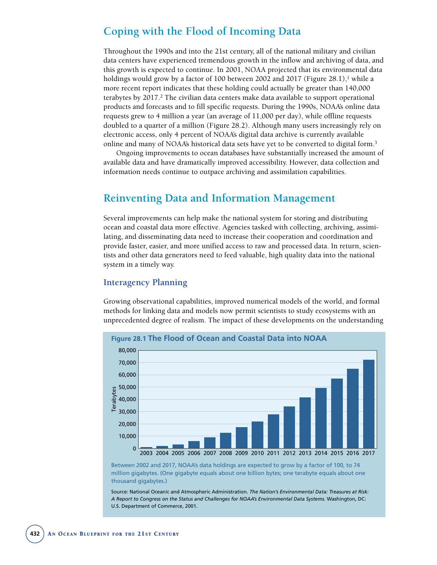# **Coping with the Flood of Incoming Data**

Throughout the 1990s and into the 21st century, all of the national military and civilian data centers have experienced tremendous growth in the inflow and archiving of data, and this growth is expected to continue. In 2001, NOAA projected that its environmental data holdings would grow by a factor of 100 between 2002 and 2017 (Figure 28.1),<sup>1</sup> while a more recent report indicates that these holding could actually be greater than 140,000 terabytes by 2017.2 The civilian data centers make data available to support operational products and forecasts and to fill specific requests. During the 1990s, NOAA's online data requests grew to 4 million a year (an average of 11,000 per day), while offline requests doubled to a quarter of a million (Figure 28.2). Although many users increasingly rely on electronic access, only 4 percent of NOAA's digital data archive is currently available online and many of NOAA's historical data sets have yet to be converted to digital form.3

Ongoing improvements to ocean databases have substantially increased the amount of available data and have dramatically improved accessibility. However, data collection and information needs continue to outpace archiving and assimilation capabilities.

# **Reinventing Data and Information Management**

Several improvements can help make the national system for storing and distributing ocean and coastal data more effective. Agencies tasked with collecting, archiving, assimilating, and disseminating data need to increase their cooperation and coordination and provide faster, easier, and more unified access to raw and processed data. In return, scientists and other data generators need to feed valuable, high quality data into the national system in a timely way.

# **Interagency Planning**

Growing observational capabilities, improved numerical models of the world, and formal methods for linking data and models now permit scientists to study ecosystems with an unprecedented degree of realism. The impact of these developments on the understanding



Between 2002 and 2017, NOAA's data holdings are expected to grow by a factor of 100, to 74 million gigabytes. (One gigabyte equals about one billion bytes; one terabyte equals about one thousand gigabytes.)

Source: National Oceanic and Atmospheric Administration. *The Nation's Environmental Data: Treasures at Risk: A Report to Congress on the Status and Challenges for NOAA's Environmental Data Systems.* Washington, DC: U.S. Department of Commerce, 2001.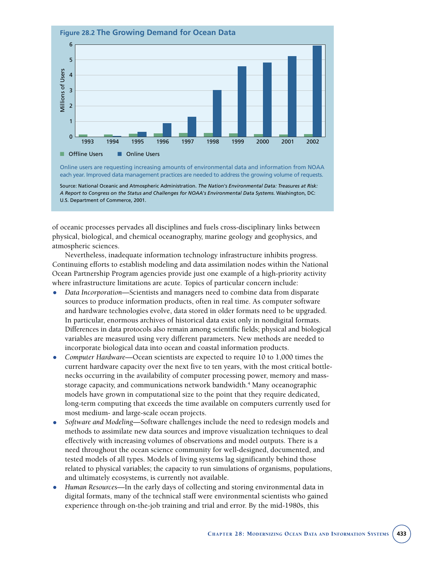

A Report to Congress on the Status and Challenges for NOAA's Environmental Data Systems. Washington, DC: U.S. Department of Commerce, 2001.

of oceanic processes pervades all disciplines and fuels cross-disciplinary links between physical, biological, and chemical oceanography, marine geology and geophysics, and atmospheric sciences.

Nevertheless, inadequate information technology infrastructure inhibits progress. Continuing efforts to establish modeling and data assimilation nodes within the National Ocean Partnership Program agencies provide just one example of a high-priority activity where infrastructure limitations are acute. Topics of particular concern include:

- *Data Incorporation*—Scientists and managers need to combine data from disparate sources to produce information products, often in real time. As computer software and hardware technologies evolve, data stored in older formats need to be upgraded. In particular, enormous archives of historical data exist only in nondigital formats. Differences in data protocols also remain among scientific fields; physical and biological variables are measured using very different parameters. New methods are needed to incorporate biological data into ocean and coastal information products.
- *Computer Hardware*—Ocean scientists are expected to require 10 to 1,000 times the current hardware capacity over the next five to ten years, with the most critical bottlenecks occurring in the availability of computer processing power, memory and massstorage capacity, and communications network bandwidth.4 Many oceanographic models have grown in computational size to the point that they require dedicated, long-term computing that exceeds the time available on computers currently used for most medium- and large-scale ocean projects.
- *Software and Modeling*—Software challenges include the need to redesign models and methods to assimilate new data sources and improve visualization techniques to deal effectively with increasing volumes of observations and model outputs. There is a need throughout the ocean science community for well-designed, documented, and tested models of all types. Models of living systems lag significantly behind those related to physical variables; the capacity to run simulations of organisms, populations, and ultimately ecosystems, is currently not available.
- *Human Resources*—In the early days of collecting and storing environmental data in digital formats, many of the technical staff were environmental scientists who gained experience through on-the-job training and trial and error. By the mid-1980s, this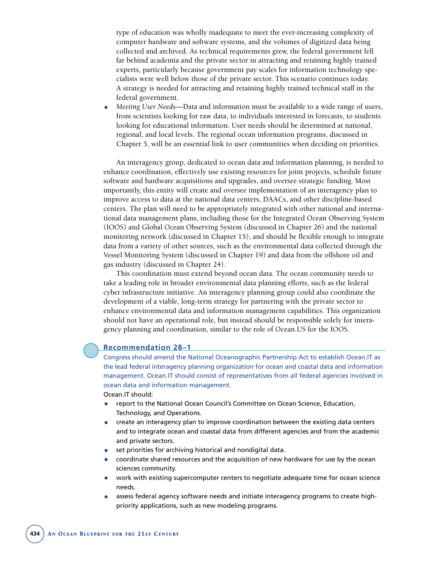type of education was wholly inadequate to meet the ever-increasing complexity of computer hardware and software systems, and the volumes of digitized data being collected and archived. As technical requirements grew, the federal government fell far behind academia and the private sector in attracting and retaining highly trained experts, particularly because government pay scales for information technology specialists were well below those of the private sector. This scenario continues today. A strategy is needed for attracting and retaining highly trained technical staff in the federal government.

• *Meeting User Needs*—Data and information must be available to a wide range of users, from scientists looking for raw data, to individuals interested in forecasts, to students looking for educational information. User needs should be determined at national, regional, and local levels. The regional ocean information programs, discussed in Chapter 5, will be an essential link to user communities when deciding on priorities.

An interagency group, dedicated to ocean data and information planning, is needed to enhance coordination, effectively use existing resources for joint projects, schedule future software and hardware acquisitions and upgrades, and oversee strategic funding. Most importantly, this entity will create and oversee implementation of an interagency plan to improve access to data at the national data centers, DAACs, and other discipline-based centers. The plan will need to be appropriately integrated with other national and international data management plans, including those for the Integrated Ocean Observing System (IOOS) and Global Ocean Observing System (discussed in Chapter 26) and the national monitoring network (discussed in Chapter 15), and should be flexible enough to integrate data from a variety of other sources, such as the environmental data collected through the Vessel Monitoring System (discussed in Chapter 19) and data from the offshore oil and gas industry (discussed in Chapter 24).

This coordination must extend beyond ocean data. The ocean community needs to take a leading role in broader environmental data planning efforts, such as the federal cyber infrastructure initiative. An interagency planning group could also coordinate the development of a viable, long-term strategy for partnering with the private sector to enhance environmental data and information management capabilities. This organization should not have an operational role, but instead should be responsible solely for interagency planning and coordination, similar to the role of Ocean.US for the IOOS.

## **Recommendation 28–1**

Congress should amend the National Oceanographic Partnership Act to establish Ocean.IT as the lead federal interagency planning organization for ocean and coastal data and information management. Ocean.IT should consist of representatives from all federal agencies involved in ocean data and information management.

Ocean.IT should:

- report to the National Ocean Council's Committee on Ocean Science, Education, Technology, and Operations.
- create an interagency plan to improve coordination between the existing data centers and to integrate ocean and coastal data from different agencies and from the academic and private sectors.
- set priorities for archiving historical and nondigital data.
- coordinate shared resources and the acquisition of new hardware for use by the ocean sciences community.
- work with existing supercomputer centers to negotiate adequate time for ocean science needs.
- assess federal agency software needs and initiate interagency programs to create highpriority applications, such as new modeling programs.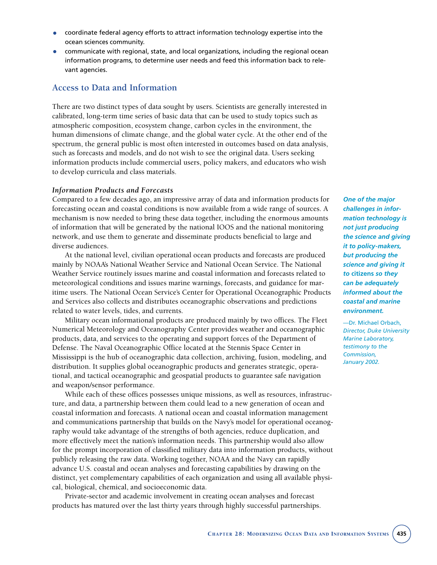- coordinate federal agency efforts to attract information technology expertise into the ocean sciences community.
- communicate with regional, state, and local organizations, including the regional ocean information programs, to determine user needs and feed this information back to relevant agencies.

# **Access to Data and Information**

There are two distinct types of data sought by users. Scientists are generally interested in calibrated, long-term time series of basic data that can be used to study topics such as atmospheric composition, ecosystem change, carbon cycles in the environment, the human dimensions of climate change, and the global water cycle. At the other end of the spectrum, the general public is most often interested in outcomes based on data analysis, such as forecasts and models, and do not wish to see the original data. Users seeking information products include commercial users, policy makers, and educators who wish to develop curricula and class materials.

## *Information Products and Forecasts*

Compared to a few decades ago, an impressive array of data and information products for forecasting ocean and coastal conditions is now available from a wide range of sources. A mechanism is now needed to bring these data together, including the enormous amounts of information that will be generated by the national IOOS and the national monitoring network, and use them to generate and disseminate products beneficial to large and diverse audiences.

At the national level, civilian operational ocean products and forecasts are produced mainly by NOAA's National Weather Service and National Ocean Service. The National Weather Service routinely issues marine and coastal information and forecasts related to meteorological conditions and issues marine warnings, forecasts, and guidance for maritime users. The National Ocean Service's Center for Operational Oceanographic Products and Services also collects and distributes oceanographic observations and predictions related to water levels, tides, and currents.

Military ocean informational products are produced mainly by two offices. The Fleet Numerical Meteorology and Oceanography Center provides weather and oceanographic products, data, and services to the operating and support forces of the Department of Defense. The Naval Oceanographic Office located at the Stennis Space Center in Mississippi is the hub of oceanographic data collection, archiving, fusion, modeling, and distribution. It supplies global oceanographic products and generates strategic, operational, and tactical oceanographic and geospatial products to guarantee safe navigation and weapon/sensor performance.

While each of these offices possesses unique missions, as well as resources, infrastructure, and data, a partnership between them could lead to a new generation of ocean and coastal information and forecasts. A national ocean and coastal information management and communications partnership that builds on the Navy's model for operational oceanography would take advantage of the strengths of both agencies, reduce duplication, and more effectively meet the nation's information needs. This partnership would also allow for the prompt incorporation of classified military data into information products, without publicly releasing the raw data. Working together, NOAA and the Navy can rapidly advance U.S. coastal and ocean analyses and forecasting capabilities by drawing on the distinct, yet complementary capabilities of each organization and using all available physical, biological, chemical, and socioeconomic data.

Private-sector and academic involvement in creating ocean analyses and forecast products has matured over the last thirty years through highly successful partnerships.

*One of the major challenges in information technology is not just producing the science and giving it to policy-makers, but producing the science and giving it to* **citizens** *so they can be adequately informed about the coastal and marine environment.*

—Dr. Michael Orbach, *Director, Duke University Marine Laboratory, testimony to the Commission, January 2002.*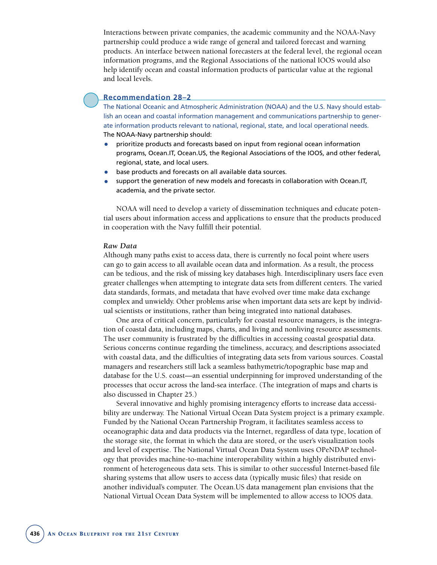Interactions between private companies, the academic community and the NOAA-Navy partnership could produce a wide range of general and tailored forecast and warning products. An interface between national forecasters at the federal level, the regional ocean information programs, and the Regional Associations of the national IOOS would also help identify ocean and coastal information products of particular value at the regional and local levels.

# **Recommendation 28–2**

The National Oceanic and Atmospheric Administration (NOAA) and the U.S. Navy should establish an ocean and coastal information management and communications partnership to generate information products relevant to national, regional, state, and local operational needs. The NOAA-Navy partnership should:

- prioritize products and forecasts based on input from regional ocean information programs, Ocean.IT, Ocean.US, the Regional Associations of the IOOS, and other federal, regional, state, and local users.
- base products and forecasts on all available data sources.
- support the generation of new models and forecasts in collaboration with Ocean.IT, academia, and the private sector.

NOAA will need to develop a variety of dissemination techniques and educate potential users about information access and applications to ensure that the products produced in cooperation with the Navy fulfill their potential.

#### *Raw Data*

Although many paths exist to access data, there is currently no focal point where users can go to gain access to all available ocean data and information. As a result, the process can be tedious, and the risk of missing key databases high. Interdisciplinary users face even greater challenges when attempting to integrate data sets from different centers. The varied data standards, formats, and metadata that have evolved over time make data exchange complex and unwieldy. Other problems arise when important data sets are kept by individual scientists or institutions, rather than being integrated into national databases.

One area of critical concern, particularly for coastal resource managers, is the integration of coastal data, including maps, charts, and living and nonliving resource assessments. The user community is frustrated by the difficulties in accessing coastal geospatial data. Serious concerns continue regarding the timeliness, accuracy, and descriptions associated with coastal data, and the difficulties of integrating data sets from various sources. Coastal managers and researchers still lack a seamless bathymetric/topographic base map and database for the U.S. coast—an essential underpinning for improved understanding of the processes that occur across the land-sea interface. (The integration of maps and charts is also discussed in Chapter 25.)

Several innovative and highly promising interagency efforts to increase data accessibility are underway. The National Virtual Ocean Data System project is a primary example. Funded by the National Ocean Partnership Program, it facilitates seamless access to oceanographic data and data products via the Internet, regardless of data type, location of the storage site, the format in which the data are stored, or the user's visualization tools and level of expertise. The National Virtual Ocean Data System uses OPeNDAP technology that provides machine-to-machine interoperability within a highly distributed environment of heterogeneous data sets. This is similar to other successful Internet-based file sharing systems that allow users to access data (typically music files) that reside on another individual's computer. The Ocean.US data management plan envisions that the National Virtual Ocean Data System will be implemented to allow access to IOOS data.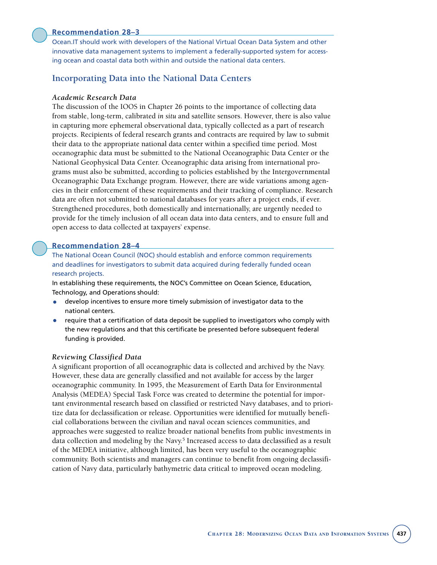## **Recommendation 28–3**

Ocean.IT should work with developers of the National Virtual Ocean Data System and other innovative data management systems to implement a federally-supported system for accessing ocean and coastal data both within and outside the national data centers.

# **Incorporating Data into the National Data Centers**

#### *Academic Research Data*

The discussion of the IOOS in Chapter 26 points to the importance of collecting data from stable, long-term, calibrated *in situ* and satellite sensors. However, there is also value in capturing more ephemeral observational data, typically collected as a part of research projects. Recipients of federal research grants and contracts are required by law to submit their data to the appropriate national data center within a specified time period. Most oceanographic data must be submitted to the National Oceanographic Data Center or the National Geophysical Data Center. Oceanographic data arising from international programs must also be submitted, according to policies established by the Intergovernmental Oceanographic Data Exchange program. However, there are wide variations among agencies in their enforcement of these requirements and their tracking of compliance. Research data are often not submitted to national databases for years after a project ends, if ever. Strengthened procedures, both domestically and internationally, are urgently needed to provide for the timely inclusion of all ocean data into data centers, and to ensure full and open access to data collected at taxpayers' expense.

#### **Recommendation 28–4**

The National Ocean Council (NOC) should establish and enforce common requirements and deadlines for investigators to submit data acquired during federally funded ocean research projects.

In establishing these requirements, the NOC's Committee on Ocean Science, Education, Technology, and Operations should:

- develop incentives to ensure more timely submission of investigator data to the national centers.
- require that a certification of data deposit be supplied to investigators who comply with the new regulations and that this certificate be presented before subsequent federal funding is provided.

#### *Reviewing Classified Data*

A significant proportion of all oceanographic data is collected and archived by the Navy. However, these data are generally classified and not available for access by the larger oceanographic community. In 1995, the Measurement of Earth Data for Environmental Analysis (MEDEA) Special Task Force was created to determine the potential for important environmental research based on classified or restricted Navy databases, and to prioritize data for declassification or release. Opportunities were identified for mutually beneficial collaborations between the civilian and naval ocean sciences communities, and approaches were suggested to realize broader national benefits from public investments in data collection and modeling by the Navy.<sup>5</sup> Increased access to data declassified as a result of the MEDEA initiative, although limited, has been very useful to the oceanographic community. Both scientists and managers can continue to benefit from ongoing declassification of Navy data, particularly bathymetric data critical to improved ocean modeling.